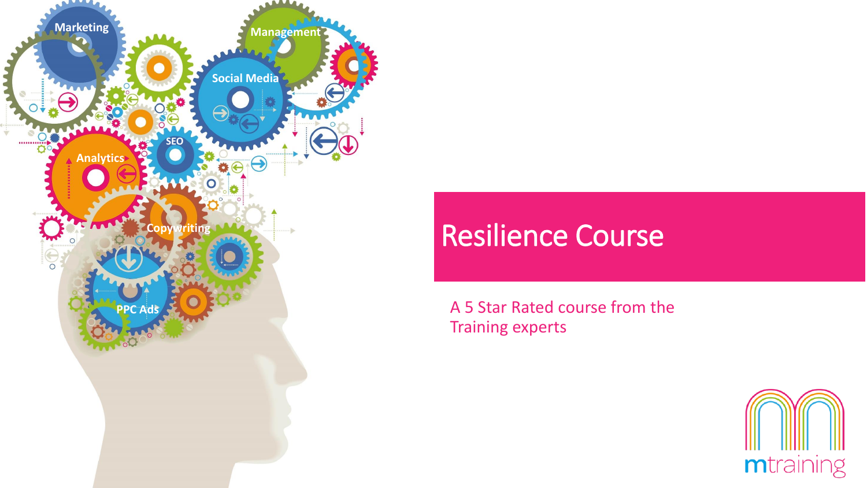

# Resilience Course

A 5 Star Rated course from the Training experts

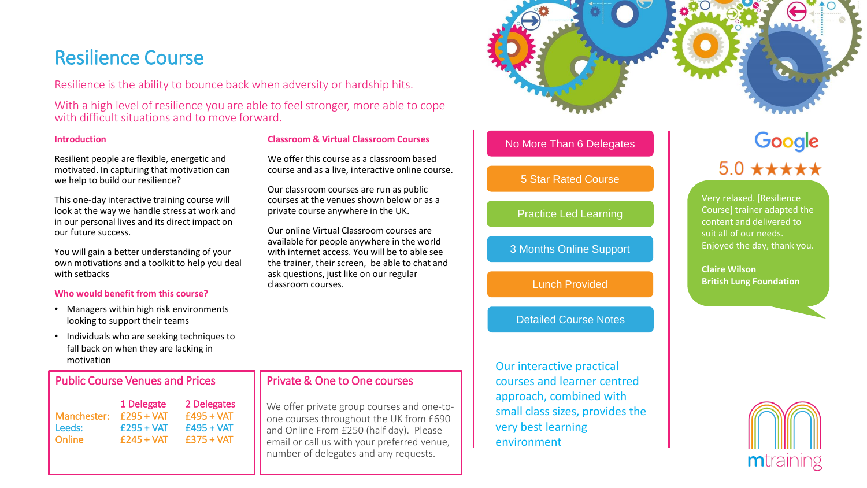# Resilience Course

Resilience is the ability to bounce back when adversity or hardship hits.

With a high level of resilience you are able to feel stronger, more able to cope with difficult situations and to move forward.

#### **Introduction**

Resilient people are flexible, energetic and motivated. In capturing that motivation can we help to build our resilience?

This one-day interactive training course will look at the way we handle stress at work and in our personal lives and its direct impact on our future success.

You will gain a better understanding of your own motivations and a toolkit to help you deal with setbacks

#### **Who would benefit from this course?**

- Managers within high risk environments looking to support their teams
- Individuals who are seeking techniques to fall back on when they are lacking in motivation

### Public Course Venues and Prices

|             | 1 Delegate    | 2 Delegates  |
|-------------|---------------|--------------|
| Manchester: | $f295 + VAT$  | $f495 + VAT$ |
| Leeds:      | $£295 + VAT$  | $E495 + VAT$ |
| Online      | $f$ 245 + VAT | $f375 + VAT$ |

### **Classroom & Virtual Classroom Courses**

We offer this course as a classroom based course and as a live, interactive online course.

Our classroom courses are run as public courses at the venues shown below or as a private course anywhere in the UK.

Our online Virtual Classroom courses are available for people anywhere in the world with internet access. You will be to able see the trainer, their screen, be able to chat and ask questions, just like on our regular classroom courses.

## Private & One to One courses

We offer private group courses and one-toone courses throughout the UK from £690 and Online From £250 (half day). Please email or call us with your preferred venue, number of delegates and any requests.



### No More Than 6 Delegates

### 5 Star Rated Course

Practice Led Learning

3 Months Online Support

Lunch Provided

### Detailed Course Notes

Our interactive practical courses and learner centred approach, combined with small class sizes, provides the very best learning environment

# Google  $5.0$  \*\*\*\*\*

Very relaxed. [Resilience Course] trainer adapted the content and delivered to suit all of our needs. Enjoyed the day, thank you.

**Claire Wilson British Lung Foundation**

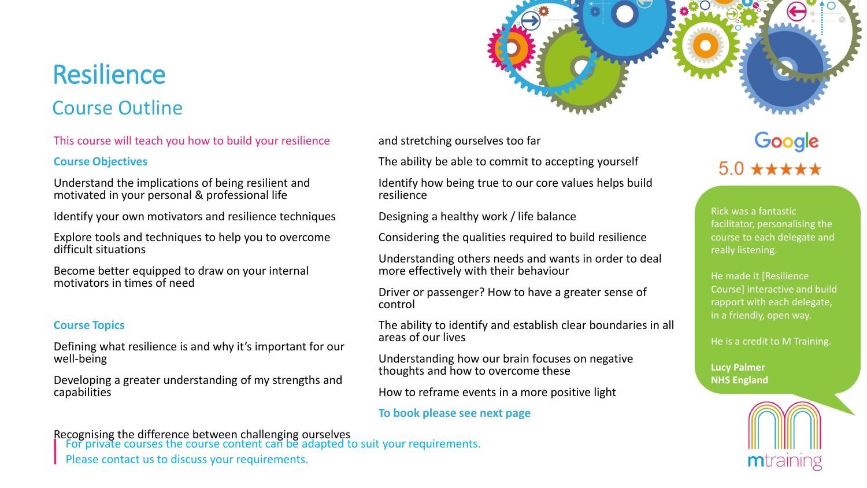# Resilience

# Course Outline

## This course will teach you how to build your resilience

## **Course Objectives**

Understand the implications of being resilient and motivated in your personal & professional life

Identify your own motivators and resilience techniques

Explore tools and techniques to help you to overcome difficult situations

Become better equipped to draw on your internal motivators in times of need

## **Course Topics**

Defining what resilience is and why it's important for our well-being

Developing a greater understanding of my strengths and capabilities

## Recognising the difference between challenging ourselves

For private courses the course content can be adapted to suit your requirements.

Please contact us to discuss your requirements.

and stretching ourselves too far

The ability be able to commit to accepting yourself

Identify how being true to our core values helps build resilience

Designing a healthy work / life balance

Considering the qualities required to build resilience

Understanding others needs and wants in order to deal more effectively with their behaviour

Driver or passenger? How to have a greater sense of control

The ability to identify and establish clear boundaries in all areas of our lives

Understanding how our brain focuses on negative thoughts and how to overcome these

How to reframe events in a more positive light

## **To book please see next page**

# Google  $50 + + + +$

Rick was a fantastic facilitator, personalising the course to each delegate and really listening.

He made it [Resilience Course] interactive and build rapport with each delegate, in a friendly, open way.

He is a credit to M Training.

**Lucy Palmer NHS England**